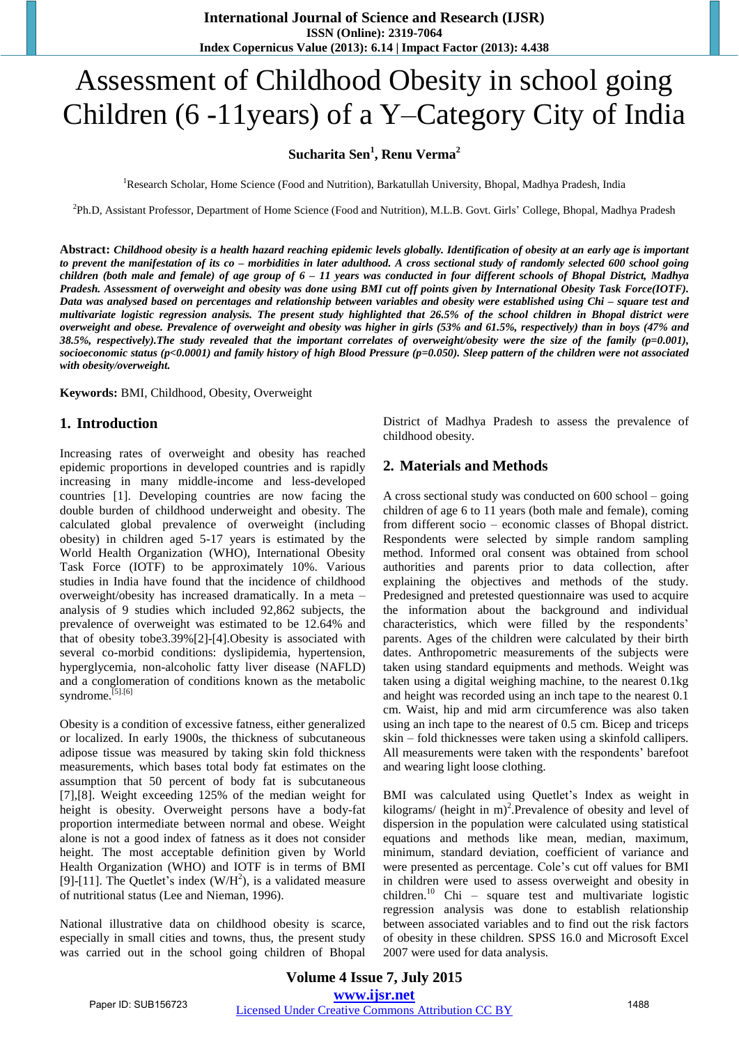# Assessment of Childhood Obesity in school going Children (6 -11years) of a Y–Category City of India

## **Sucharita Sen<sup>1</sup> , Renu Verma<sup>2</sup>**

<sup>1</sup>Research Scholar, Home Science (Food and Nutrition), Barkatullah University, Bhopal, Madhya Pradesh, India

2 Ph.D, Assistant Professor, Department of Home Science (Food and Nutrition), M.L.B. Govt. Girls' College, Bhopal, Madhya Pradesh

**Abstract:** *Childhood obesity is a health hazard reaching epidemic levels globally. Identification of obesity at an early age is important to prevent the manifestation of its co – morbidities in later adulthood. A cross sectional study of randomly selected 600 school going children (both male and female) of age group of 6 – 11 years was conducted in four different schools of Bhopal District, Madhya Pradesh. Assessment of overweight and obesity was done using BMI cut off points given by International Obesity Task Force(IOTF). Data was analysed based on percentages and relationship between variables and obesity were established using Chi – square test and multivariate logistic regression analysis. The present study highlighted that 26.5% of the school children in Bhopal district were overweight and obese. Prevalence of overweight and obesity was higher in girls (53% and 61.5%, respectively) than in boys (47% and 38.5%, respectively).The study revealed that the important correlates of overweight/obesity were the size of the family (p=0.001), socioeconomic status (p<0.0001) and family history of high Blood Pressure (p=0.050). Sleep pattern of the children were not associated with obesity/overweight.* 

**Keywords:** BMI, Childhood, Obesity, Overweight

#### **1. Introduction**

Increasing rates of overweight and obesity has reached epidemic proportions in developed countries and is rapidly increasing in many middle-income and less-developed countries [1]. Developing countries are now facing the double burden of childhood underweight and obesity. The calculated global prevalence of overweight (including obesity) in children aged 5-17 years is estimated by the World Health Organization (WHO), International Obesity Task Force (IOTF) to be approximately 10%. Various studies in India have found that the incidence of childhood overweight/obesity has increased dramatically. In a meta – analysis of 9 studies which included 92,862 subjects, the prevalence of overweight was estimated to be 12.64% and that of obesity tobe3.39%[2]-[4].Obesity is associated with several co-morbid conditions: dyslipidemia, hypertension, hyperglycemia, non-alcoholic fatty liver disease (NAFLD) and a conglomeration of conditions known as the metabolic syndrome.<sup>[5].[6]</sup>

Obesity is a condition of excessive fatness, either generalized or localized. In early 1900s, the thickness of subcutaneous adipose tissue was measured by taking skin fold thickness measurements, which bases total body fat estimates on the assumption that 50 percent of body fat is subcutaneous [7],[8]. Weight exceeding 125% of the median weight for height is obesity. Overweight persons have a body-fat proportion intermediate between normal and obese. Weight alone is not a good index of fatness as it does not consider height. The most acceptable definition given by World Health Organization (WHO) and IOTF is in terms of BMI [9]-[11]. The Quetlet's index  $(W/H<sup>2</sup>)$ , is a validated measure of nutritional status (Lee and Nieman, 1996).

National illustrative data on childhood obesity is scarce, especially in small cities and towns, thus, the present study was carried out in the school going children of Bhopal District of Madhya Pradesh to assess the prevalence of childhood obesity.

## **2. Materials and Methods**

A cross sectional study was conducted on 600 school – going children of age 6 to 11 years (both male and female), coming from different socio – economic classes of Bhopal district. Respondents were selected by simple random sampling method. Informed oral consent was obtained from school authorities and parents prior to data collection, after explaining the objectives and methods of the study. Predesigned and pretested questionnaire was used to acquire the information about the background and individual characteristics, which were filled by the respondents' parents. Ages of the children were calculated by their birth dates. Anthropometric measurements of the subjects were taken using standard equipments and methods. Weight was taken using a digital weighing machine, to the nearest 0.1kg and height was recorded using an inch tape to the nearest 0.1 cm. Waist, hip and mid arm circumference was also taken using an inch tape to the nearest of 0.5 cm. Bicep and triceps skin – fold thicknesses were taken using a skinfold callipers. All measurements were taken with the respondents' barefoot and wearing light loose clothing.

BMI was calculated using Quetlet's Index as weight in kilograms/ (height in  $m$ )<sup>2</sup>. Prevalence of obesity and level of dispersion in the population were calculated using statistical equations and methods like mean, median, maximum, minimum, standard deviation, coefficient of variance and were presented as percentage. Cole's cut off values for BMI in children were used to assess overweight and obesity in children.<sup>10</sup> Chi – square test and multivariate logistic regression analysis was done to establish relationship between associated variables and to find out the risk factors of obesity in these children. SPSS 16.0 and Microsoft Excel 2007 were used for data analysis.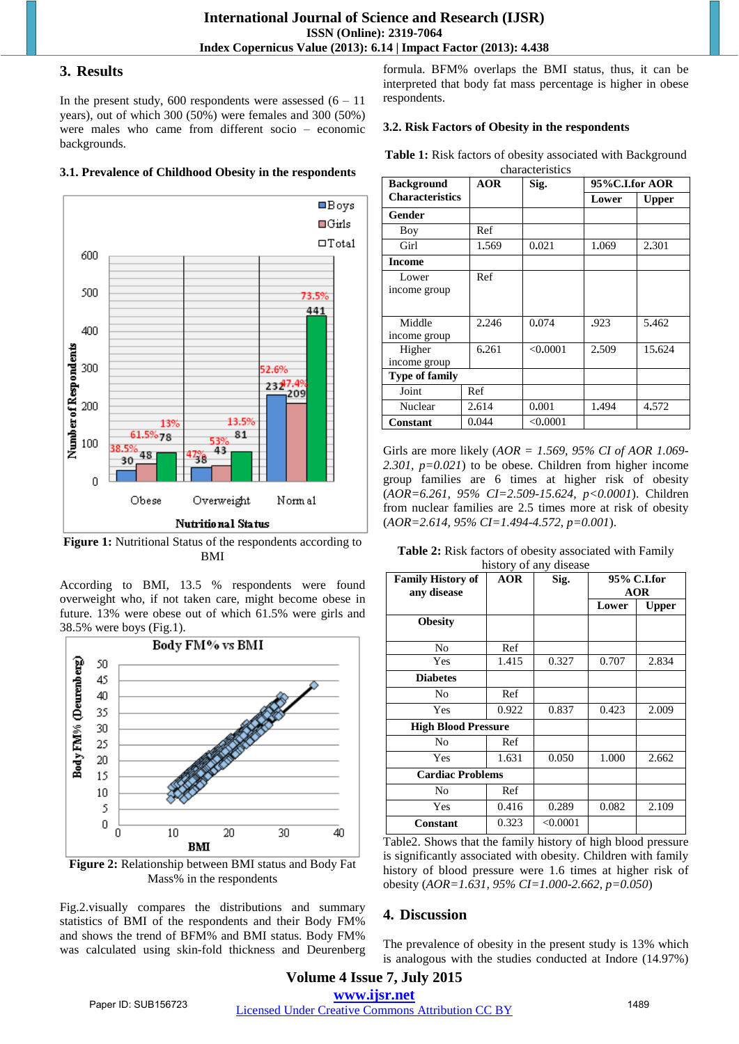#### **3. Results**

In the present study,  $600$  respondents were assessed  $(6 - 11)$ years), out of which 300 (50%) were females and 300 (50%) were males who came from different socio – economic backgrounds.

#### **3.1. Prevalence of Childhood Obesity in the respondents**



**Figure 1:** Nutritional Status of the respondents according to BMI

According to BMI, 13.5 % respondents were found overweight who, if not taken care, might become obese in future. 13% were obese out of which 61.5% were girls and 38.5% were boys (Fig.1).



**Figure 2:** Relationship between BMI status and Body Fat Mass% in the respondents

Fig.2.visually compares the distributions and summary statistics of BMI of the respondents and their Body FM% and shows the trend of BFM% and BMI status. Body FM% was calculated using skin-fold thickness and Deurenberg formula. BFM% overlaps the BMI status, thus, it can be interpreted that body fat mass percentage is higher in obese respondents.

#### **3.2. Risk Factors of Obesity in the respondents**

**Table 1:** Risk factors of obesity associated with Background

| characteristics        |            |          |                |              |  |  |  |
|------------------------|------------|----------|----------------|--------------|--|--|--|
| <b>Background</b>      | <b>AOR</b> | Sig.     | 95%C.I.for AOR |              |  |  |  |
| <b>Characteristics</b> |            |          | Lower          | <b>Upper</b> |  |  |  |
| Gender                 |            |          |                |              |  |  |  |
| Boy                    | Ref        |          |                |              |  |  |  |
| Girl                   | 1.569      | 0.021    | 1.069          | 2.301        |  |  |  |
| <b>Income</b>          |            |          |                |              |  |  |  |
| Lower<br>income group  | Ref        |          |                |              |  |  |  |
| Middle<br>income group | 2.246      | 0.074    | .923           | 5.462        |  |  |  |
| Higher<br>income group | 6.261      | < 0.0001 | 2.509          | 15.624       |  |  |  |
| <b>Type of family</b>  |            |          |                |              |  |  |  |
| Joint                  | Ref        |          |                |              |  |  |  |
| Nuclear                | 2.614      | 0.001    | 1.494          | 4.572        |  |  |  |
| <b>Constant</b>        | 0.044      | < 0.0001 |                |              |  |  |  |

Girls are more likely (*AOR = 1.569, 95% CI of AOR 1.069- 2.301, p=0.021*) to be obese. Children from higher income group families are 6 times at higher risk of obesity (*AOR=6.261, 95% CI=2.509-15.624, p<0.0001*). Children from nuclear families are 2.5 times more at risk of obesity (*AOR=2.614, 95% CI=1.494-4.572, p=0.001*).

**Table 2:** Risk factors of obesity associated with Family history of any disease

| <b>Family History of</b><br>any disease | <b>AOR</b> | Sig.     | 95% C.I.for<br><b>AOR</b> |              |
|-----------------------------------------|------------|----------|---------------------------|--------------|
|                                         |            |          | Lower                     | <b>Upper</b> |
| <b>Obesity</b>                          |            |          |                           |              |
| N <sub>0</sub>                          | Ref        |          |                           |              |
| Yes                                     | 1.415      | 0.327    | 0.707                     | 2.834        |
| <b>Diabetes</b>                         |            |          |                           |              |
| No                                      | Ref        |          |                           |              |
| Yes                                     | 0.922      | 0.837    | 0.423                     | 2.009        |
| <b>High Blood Pressure</b>              |            |          |                           |              |
| No                                      | Ref        |          |                           |              |
| Yes                                     | 1.631      | 0.050    | 1.000                     | 2.662        |
| <b>Cardiac Problems</b>                 |            |          |                           |              |
| No                                      | Ref        |          |                           |              |
| Yes                                     | 0.416      | 0.289    | 0.082                     | 2.109        |
| <b>Constant</b>                         | 0.323      | < 0.0001 |                           |              |

Table2. Shows that the family history of high blood pressure is significantly associated with obesity. Children with family history of blood pressure were 1.6 times at higher risk of obesity (*AOR=1.631, 95% CI=1.000-2.662, p=0.050*)

### **4. Discussion**

The prevalence of obesity in the present study is 13% which is analogous with the studies conducted at Indore (14.97%)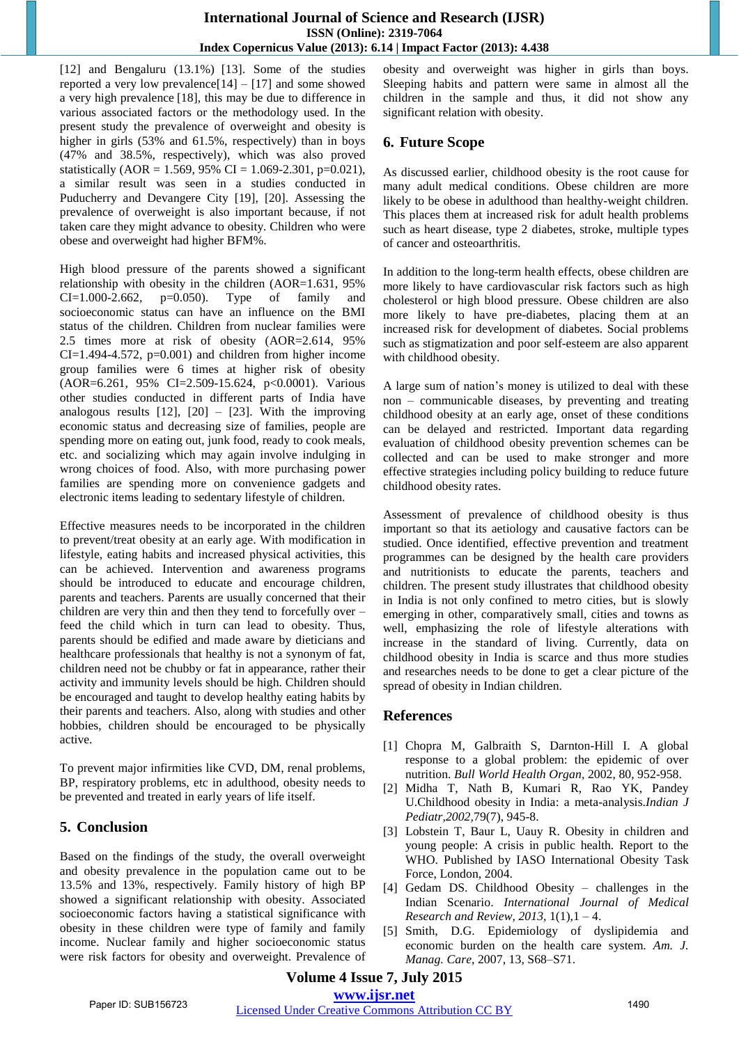[12] and Bengaluru (13.1%) [13]. Some of the studies reported a very low prevalence $[14] - [17]$  and some showed a very high prevalence [18], this may be due to difference in various associated factors or the methodology used. In the present study the prevalence of overweight and obesity is higher in girls  $(53\%$  and  $61.5\%$ , respectively) than in boys (47% and 38.5%, respectively), which was also proved statistically (AOR = 1.569, 95% CI = 1.069-2.301, p=0.021), a similar result was seen in a studies conducted in Puducherry and Devangere City [19], [20]. Assessing the prevalence of overweight is also important because, if not taken care they might advance to obesity. Children who were obese and overweight had higher BFM%.

High blood pressure of the parents showed a significant relationship with obesity in the children (AOR=1.631, 95% CI=1.000-2.662, p=0.050). Type of family and socioeconomic status can have an influence on the BMI status of the children. Children from nuclear families were 2.5 times more at risk of obesity (AOR=2.614, 95%  $CI=1.494-4.572$ ,  $p=0.001$ ) and children from higher income group families were 6 times at higher risk of obesity (AOR=6.261, 95% CI=2.509-15.624, p<0.0001). Various other studies conducted in different parts of India have analogous results  $[12]$ ,  $[20] - [23]$ . With the improving economic status and decreasing size of families, people are spending more on eating out, junk food, ready to cook meals, etc. and socializing which may again involve indulging in wrong choices of food. Also, with more purchasing power families are spending more on convenience gadgets and electronic items leading to sedentary lifestyle of children.

Effective measures needs to be incorporated in the children to prevent/treat obesity at an early age. With modification in lifestyle, eating habits and increased physical activities, this can be achieved. Intervention and awareness programs should be introduced to educate and encourage children, parents and teachers. Parents are usually concerned that their children are very thin and then they tend to forcefully over – feed the child which in turn can lead to obesity. Thus, parents should be edified and made aware by dieticians and healthcare professionals that healthy is not a synonym of fat, children need not be chubby or fat in appearance, rather their activity and immunity levels should be high. Children should be encouraged and taught to develop healthy eating habits by their parents and teachers. Also, along with studies and other hobbies, children should be encouraged to be physically active.

To prevent major infirmities like CVD, DM, renal problems, BP, respiratory problems, etc in adulthood, obesity needs to be prevented and treated in early years of life itself.

# **5. Conclusion**

Based on the findings of the study, the overall overweight and obesity prevalence in the population came out to be 13.5% and 13%, respectively. Family history of high BP showed a significant relationship with obesity. Associated socioeconomic factors having a statistical significance with obesity in these children were type of family and family income. Nuclear family and higher socioeconomic status were risk factors for obesity and overweight. Prevalence of obesity and overweight was higher in girls than boys. Sleeping habits and pattern were same in almost all the children in the sample and thus, it did not show any significant relation with obesity.

# **6. Future Scope**

As discussed earlier, childhood obesity is the root cause for many adult medical conditions. Obese children are more likely to be obese in adulthood than healthy-weight children. This places them at increased risk for adult health problems such as heart disease, type 2 diabetes, stroke, multiple types of cancer and osteoarthritis.

In addition to the long-term health effects, obese children are more likely to have cardiovascular risk factors such as high cholesterol or high blood pressure. Obese children are also more likely to have pre-diabetes, placing them at an increased risk for development of diabetes. Social problems such as stigmatization and poor self-esteem are also apparent with childhood obesity.

A large sum of nation's money is utilized to deal with these non – communicable diseases, by preventing and treating childhood obesity at an early age, onset of these conditions can be delayed and restricted. Important data regarding evaluation of childhood obesity prevention schemes can be collected and can be used to make stronger and more effective strategies including policy building to reduce future childhood obesity rates.

Assessment of prevalence of childhood obesity is thus important so that its aetiology and causative factors can be studied. Once identified, effective prevention and treatment programmes can be designed by the health care providers and nutritionists to educate the parents, teachers and children. The present study illustrates that childhood obesity in India is not only confined to metro cities, but is slowly emerging in other, comparatively small, cities and towns as well, emphasizing the role of lifestyle alterations with increase in the standard of living. Currently, data on childhood obesity in India is scarce and thus more studies and researches needs to be done to get a clear picture of the spread of obesity in Indian children.

# **References**

- [1] Chopra M, Galbraith S, Darnton-Hill I. A global response to a global problem: the epidemic of over nutrition. *Bull World Health Organ*, 2002, 80, 952-958.
- [2] Midha T, Nath B, Kumari R, Rao YK, Pandey U.Childhood obesity in India: a meta-analysis.*Indian J Pediatr,2002,*79(7), 945-8.
- [3] Lobstein T, Baur L, Uauy R. Obesity in children and young people: A crisis in public health. Report to the WHO. Published by IASO International Obesity Task Force, London, 2004.
- [4] Gedam DS. Childhood Obesity challenges in the Indian Scenario. *International Journal of Medical Research and Review, 2013,* 1(1),1 – 4.
- [5] Smith, D.G. Epidemiology of dyslipidemia and economic burden on the health care system. *Am. J. Manag. Care*, 2007, 13, S68–S71.